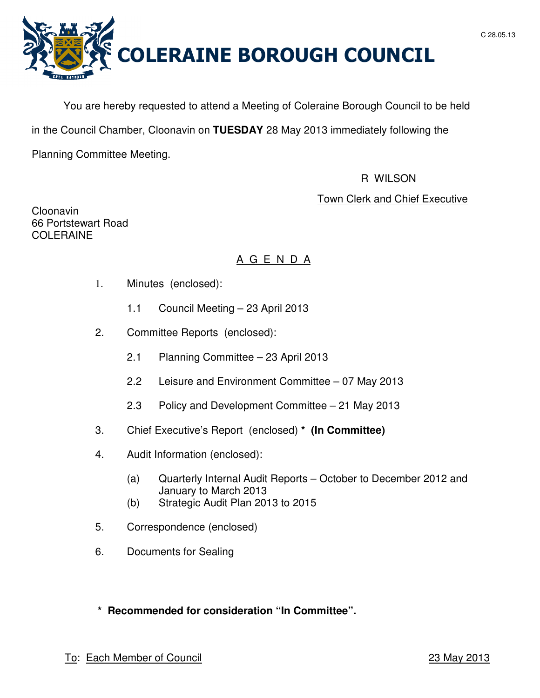



You are hereby requested to attend a Meeting of Coleraine Borough Council to be held in the Council Chamber, Cloonavin on **TUESDAY** 28 May 2013 immediately following the

Planning Committee Meeting.

# R WILSON

# Town Clerk and Chief Executive

Cloonavin 66 Portstewart Road COLERAINE

# A G E N D A

- 1. Minutes (enclosed):
	- 1.1 Council Meeting 23 April 2013
- 2. Committee Reports (enclosed):
	- 2.1 Planning Committee 23 April 2013
	- 2.2 Leisure and Environment Committee 07 May 2013
	- 2.3 Policy and Development Committee 21 May 2013
- 3. Chief Executive's Report (enclosed) **\* (In Committee)**
- 4. Audit Information (enclosed):
	- (a) Quarterly Internal Audit Reports October to December 2012 and January to March 2013
	- (b) Strategic Audit Plan 2013 to 2015
- 5. Correspondence (enclosed)
- 6. Documents for Sealing

# **\* Recommended for consideration "In Committee".**

# To: Each Member of Council 23 May 2013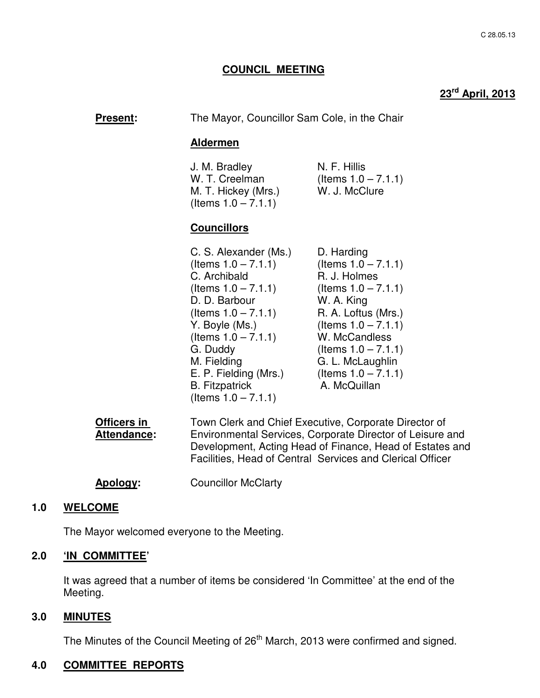### **COUNCIL MEETING**

# **23rd April, 2013**

| <b>Present:</b> | The Mayor, Councillor Sam Cole, in the Chair |
|-----------------|----------------------------------------------|
|                 | Aldermen                                     |

J. M. Bradley N. F. Hillis W. T. Creelman (Items  $1.0 - 7.1.1$ ) M. T. Hickey (Mrs.) W. J. McClure  $($ ltems  $1.0 - 7.1.1)$ 

### **Councillors**

| C. S. Alexander (Ms.)  | D. Harding             |
|------------------------|------------------------|
| (Items $1.0 - 7.1.1$ ) | (Items $1.0 - 7.1.1$ ) |
| C. Archibald           | R. J. Holmes           |
| (Items $1.0 - 7.1.1$ ) | (Items $1.0 - 7.1.1$ ) |
| D. D. Barbour          | W. A. King             |
| (Items $1.0 - 7.1.1$ ) | R. A. Loftus (Mrs.)    |
| Y. Boyle (Ms.)         | (Items $1.0 - 7.1.1$ ) |
| (Items $1.0 - 7.1.1$ ) | W. McCandless          |
| G. Duddy               | (Items $1.0 - 7.1.1$ ) |
| M. Fielding            | G. L. McLaughlin       |
| E. P. Fielding (Mrs.)  | (Items $1.0 - 7.1.1$ ) |
| <b>B.</b> Fitzpatrick  | A. McQuillan           |
| (Items 1.0 – 7.1.1)    |                        |

| Officers in        | Town Clerk and Chief Executive, Corporate Director of     |  |
|--------------------|-----------------------------------------------------------|--|
| <b>Attendance:</b> | Environmental Services, Corporate Director of Leisure and |  |
|                    | Development, Acting Head of Finance, Head of Estates and  |  |
|                    | Facilities, Head of Central Services and Clerical Officer |  |

**Apology:** Councillor McClarty

#### **1.0 WELCOME**

The Mayor welcomed everyone to the Meeting.

## **2.0 'IN COMMITTEE'**

 It was agreed that a number of items be considered 'In Committee' at the end of the Meeting.

#### **3.0 MINUTES**

The Minutes of the Council Meeting of 26<sup>th</sup> March, 2013 were confirmed and signed.

### **4.0 COMMITTEE REPORTS**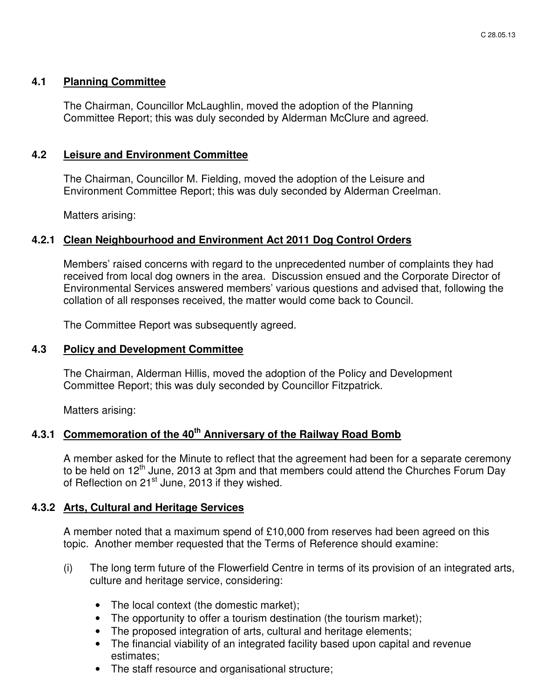### **4.1 Planning Committee**

The Chairman, Councillor McLaughlin, moved the adoption of the Planning Committee Report; this was duly seconded by Alderman McClure and agreed.

### **4.2 Leisure and Environment Committee**

 The Chairman, Councillor M. Fielding, moved the adoption of the Leisure and Environment Committee Report; this was duly seconded by Alderman Creelman.

Matters arising:

### **4.2.1 Clean Neighbourhood and Environment Act 2011 Dog Control Orders**

Members' raised concerns with regard to the unprecedented number of complaints they had received from local dog owners in the area. Discussion ensued and the Corporate Director of Environmental Services answered members' various questions and advised that, following the collation of all responses received, the matter would come back to Council.

The Committee Report was subsequently agreed.

### **4.3 Policy and Development Committee**

 The Chairman, Alderman Hillis, moved the adoption of the Policy and Development Committee Report; this was duly seconded by Councillor Fitzpatrick.

Matters arising:

# **4.3.1 Commemoration of the 40th Anniversary of the Railway Road Bomb**

A member asked for the Minute to reflect that the agreement had been for a separate ceremony to be held on 12<sup>th</sup> June, 2013 at 3pm and that members could attend the Churches Forum Day of Reflection on 21<sup>st</sup> June, 2013 if they wished.

# **4.3.2 Arts, Cultural and Heritage Services**

A member noted that a maximum spend of £10,000 from reserves had been agreed on this topic. Another member requested that the Terms of Reference should examine:

- (i) The long term future of the Flowerfield Centre in terms of its provision of an integrated arts, culture and heritage service, considering:
	- The local context (the domestic market);
	- The opportunity to offer a tourism destination (the tourism market);
	- The proposed integration of arts, cultural and heritage elements;
	- The financial viability of an integrated facility based upon capital and revenue estimates;
	- The staff resource and organisational structure;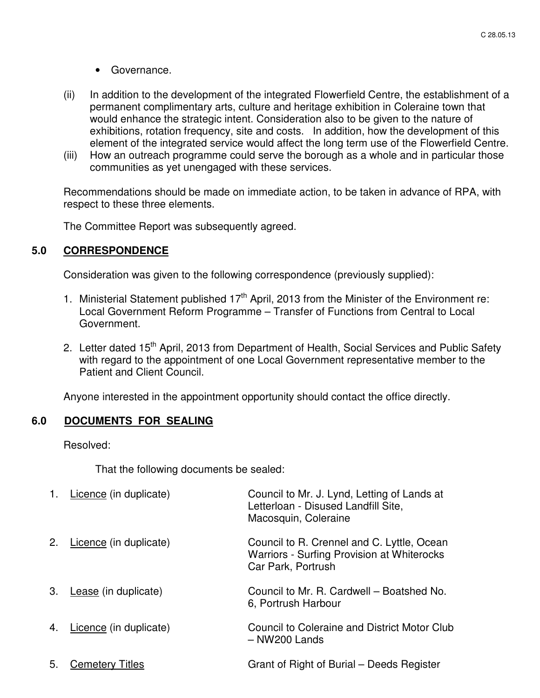- Governance.
- (ii) In addition to the development of the integrated Flowerfield Centre, the establishment of a permanent complimentary arts, culture and heritage exhibition in Coleraine town that would enhance the strategic intent. Consideration also to be given to the nature of exhibitions, rotation frequency, site and costs. In addition, how the development of this element of the integrated service would affect the long term use of the Flowerfield Centre.
- (iii) How an outreach programme could serve the borough as a whole and in particular those communities as yet unengaged with these services.

Recommendations should be made on immediate action, to be taken in advance of RPA, with respect to these three elements.

The Committee Report was subsequently agreed.

## **5.0 CORRESPONDENCE**

Consideration was given to the following correspondence (previously supplied):

- 1. Ministerial Statement published  $17<sup>th</sup>$  April, 2013 from the Minister of the Environment re: Local Government Reform Programme – Transfer of Functions from Central to Local Government.
- 2. Letter dated 15<sup>th</sup> April, 2013 from Department of Health, Social Services and Public Safety with regard to the appointment of one Local Government representative member to the Patient and Client Council.

Anyone interested in the appointment opportunity should contact the office directly.

### **6.0 DOCUMENTS FOR SEALING**

Resolved:

That the following documents be sealed:

| 1. | Licence (in duplicate) | Council to Mr. J. Lynd, Letting of Lands at<br>Letterloan - Disused Landfill Site,<br>Macosquin, Coleraine     |
|----|------------------------|----------------------------------------------------------------------------------------------------------------|
| 2. | Licence (in duplicate) | Council to R. Crennel and C. Lyttle, Ocean<br>Warriors - Surfing Provision at Whiterocks<br>Car Park, Portrush |
| 3. | Lease (in duplicate)   | Council to Mr. R. Cardwell – Boatshed No.<br>6, Portrush Harbour                                               |
| 4. | Licence (in duplicate) | Council to Coleraine and District Motor Club<br>$-$ NW200 Lands                                                |
| 5. | <b>Cemetery Titles</b> | Grant of Right of Burial – Deeds Register                                                                      |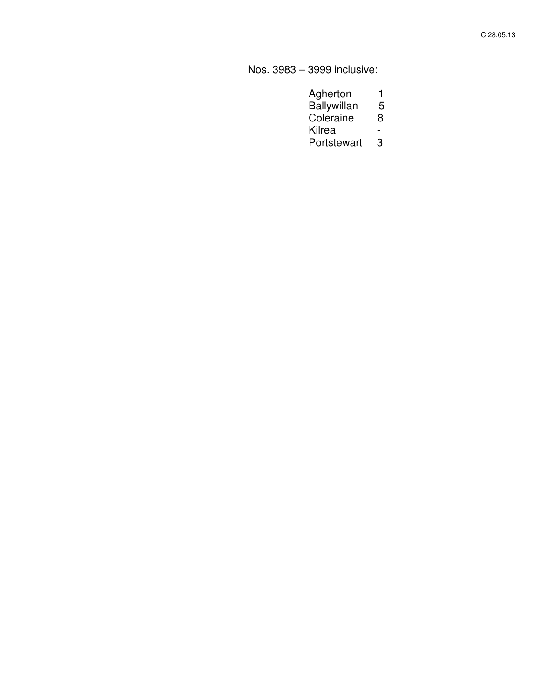Nos. 3983 – 3999 inclusive:

| Agherton    |   |
|-------------|---|
| Ballywillan | 5 |

- Coleraine 8
- Kilrea -
- Portstewart 3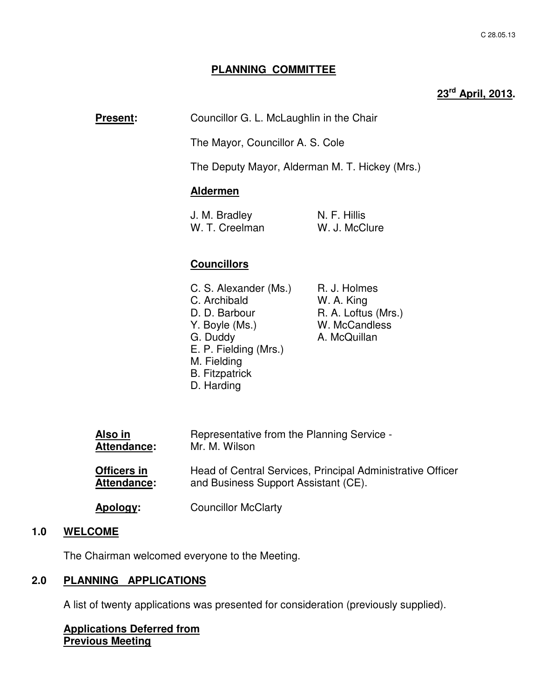### **PLANNING COMMITTEE**

# **23rd April, 2013.**

**Present:** Councillor G. L. McLaughlin in the Chair

The Mayor, Councillor A. S. Cole

The Deputy Mayor, Alderman M. T. Hickey (Mrs.)

#### **Aldermen**

| J. M. Bradley  | N. F. Hillis  |
|----------------|---------------|
| W. T. Creelman | W. J. McClure |

### **Councillors**

| C. S. Alexander (Ms.) | R. J. Holmes        |
|-----------------------|---------------------|
| C. Archibald          | W. A. King          |
| D. D. Barbour         | R. A. Loftus (Mrs.) |
| Y. Boyle (Ms.)        | W. McCandless       |
| G. Duddy              | A. McQuillan        |
| E. P. Fielding (Mrs.) |                     |
| M. Fielding           |                     |
| <b>B.</b> Fitzpatrick |                     |
| D. Harding            |                     |

| Also in            | Representative from the Planning Service -                 |
|--------------------|------------------------------------------------------------|
| Attendance:        | Mr. M. Wilson                                              |
| Officers in        | Head of Central Services, Principal Administrative Officer |
| <b>Attendance:</b> | and Business Support Assistant (CE).                       |
| <u>Apology:</u>    | <b>Councillor McClarty</b>                                 |

#### **1.0 WELCOME**

The Chairman welcomed everyone to the Meeting.

# **2.0 PLANNING APPLICATIONS**

A list of twenty applications was presented for consideration (previously supplied).

**Applications Deferred from Previous Meeting**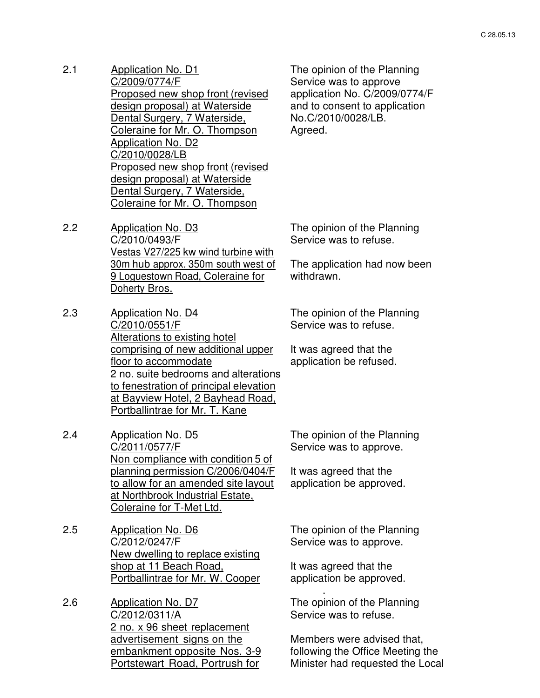- 2.1 Application No. D1 C/2009/0774/F Proposed new shop front (revised design proposal) at Waterside Dental Surgery, 7 Waterside, Coleraine for Mr. O. Thompson Application No. D2 C/2010/0028/LB Proposed new shop front (revised design proposal) at Waterside Dental Surgery, 7 Waterside, Coleraine for Mr. O. Thompson
- The opinion of the Planning Service was to approve application No. C/2009/0774/F and to consent to application No.C/2010/0028/LB. Agreed.

2.2 Application No. D3 C/2010/0493/F Vestas V27/225 kw wind turbine with 30m hub approx. 350m south west of 9 Loguestown Road, Coleraine for Doherty Bros.

- 2.3 Application No. D4 C/2010/0551/F Alterations to existing hotel comprising of new additional upper floor to accommodate 2 no. suite bedrooms and alterations to fenestration of principal elevation at Bayview Hotel, 2 Bayhead Road, Portballintrae for Mr. T. Kane
- 2.4 Application No. D5 C/2011/0577/F Non compliance with condition 5 of planning permission C/2006/0404/F to allow for an amended site layout at Northbrook Industrial Estate, Coleraine for T-Met Ltd.
- 2.5 Application No. D6 C/2012/0247/F New dwelling to replace existing shop at 11 Beach Road, Portballintrae for Mr. W. Cooper
- 2.6 Application No. D7 C/2012/0311/A 2 no. x 96 sheet replacement advertisement signs on the embankment opposite Nos. 3-9 Portstewart Road, Portrush for

The opinion of the Planning Service was to refuse.

The application had now been withdrawn.

The opinion of the Planning Service was to refuse.

It was agreed that the application be refused.

The opinion of the Planning Service was to approve.

It was agreed that the application be approved.

The opinion of the Planning Service was to approve.

It was agreed that the application be approved.

.

The opinion of the Planning Service was to refuse.

Members were advised that, following the Office Meeting the Minister had requested the Local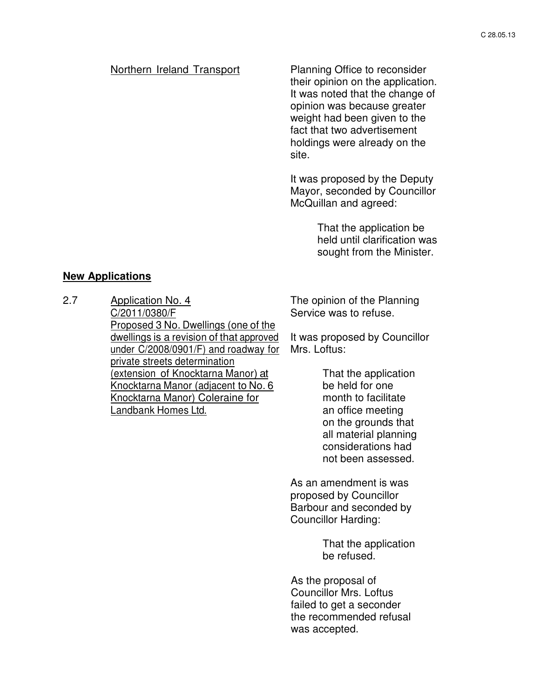#### Northern Ireland Transport Planning Office to reconsider

their opinion on the application. It was noted that the change of opinion was because greater weight had been given to the fact that two advertisement holdings were already on the site.

It was proposed by the Deputy Mayor, seconded by Councillor McQuillan and agreed:

> That the application be held until clarification was sought from the Minister.

### **New Applications**

2.7 Application No. 4 C/2011/0380/F Proposed 3 No. Dwellings (one of the dwellings is a revision of that approved under C/2008/0901/F) and roadway for private streets determination (extension of Knocktarna Manor) at Knocktarna Manor (adjacent to No. 6 Knocktarna Manor) Coleraine for Landbank Homes Ltd.

The opinion of the Planning Service was to refuse.

It was proposed by Councillor Mrs. Loftus:

> That the application be held for one month to facilitate an office meeting on the grounds that all material planning considerations had not been assessed.

As an amendment is was proposed by Councillor Barbour and seconded by Councillor Harding:

> That the application be refused.

As the proposal of Councillor Mrs. Loftus failed to get a seconder the recommended refusal was accepted.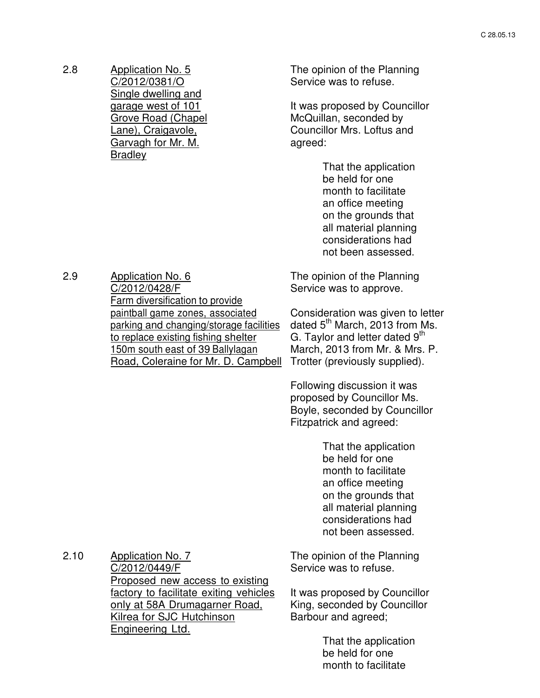2.8 Application No. 5 C/2012/0381/O Single dwelling and garage west of 101 Grove Road (Chapel Lane), Craigavole, Garvagh for Mr. M. **Bradley** 

2.9 Application No. 6

C/2012/0428/F

Farm diversification to provide paintball game zones, associated parking and changing/storage facilities to replace existing fishing shelter 150m south east of 39 Ballylagan Road, Coleraine for Mr. D. Campbell The opinion of the Planning Service was to refuse.

It was proposed by Councillor McQuillan, seconded by Councillor Mrs. Loftus and agreed:

> That the application be held for one month to facilitate an office meeting on the grounds that all material planning considerations had not been assessed.

The opinion of the Planning Service was to approve.

Consideration was given to letter dated 5<sup>th</sup> March, 2013 from Ms. G. Taylor and letter dated  $9<sup>th</sup>$ March, 2013 from Mr. & Mrs. P. Trotter (previously supplied).

Following discussion it was proposed by Councillor Ms. Boyle, seconded by Councillor Fitzpatrick and agreed:

> That the application be held for one month to facilitate an office meeting on the grounds that all material planning considerations had not been assessed.

2.10 Application No. 7 C/2012/0449/F Proposed new access to existing factory to facilitate exiting vehicles only at 58A Drumagarner Road, Kilrea for SJC Hutchinson Engineering Ltd.

The opinion of the Planning Service was to refuse.

It was proposed by Councillor King, seconded by Councillor Barbour and agreed;

> That the application be held for one month to facilitate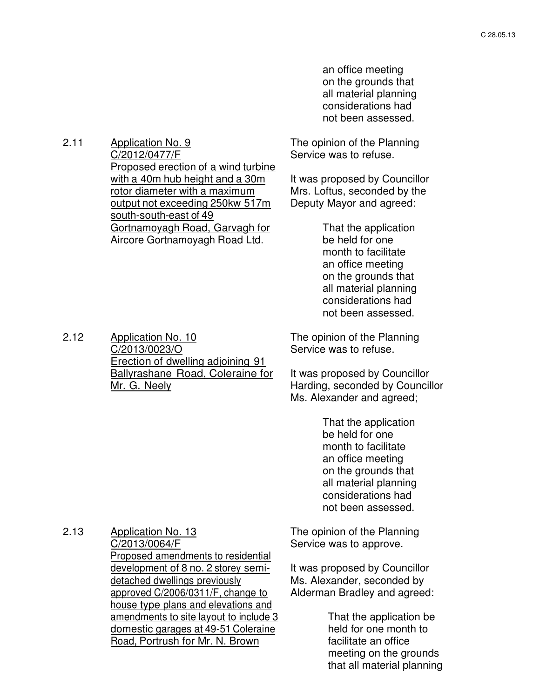an office meeting on the grounds that all material planning considerations had not been assessed.

2.11 Application No. 9 C/2012/0477/F Proposed erection of a wind turbine with a 40m hub height and a 30m rotor diameter with a maximum output not exceeding 250kw 517m south-south-east of 49 Gortnamoyagh Road, Garvagh for Aircore Gortnamoyagh Road Ltd.

The opinion of the Planning Service was to refuse.

It was proposed by Councillor Mrs. Loftus, seconded by the Deputy Mayor and agreed:

> That the application be held for one month to facilitate an office meeting on the grounds that all material planning considerations had not been assessed.

2.12 Application No. 10 C/2013/0023/O Erection of dwelling adjoining 91 Ballyrashane Road, Coleraine for Mr. G. Neely

The opinion of the Planning Service was to refuse.

It was proposed by Councillor Harding, seconded by Councillor Ms. Alexander and agreed;

> That the application be held for one month to facilitate an office meeting on the grounds that all material planning considerations had not been assessed.

2.13 Application No. 13 C/2013/0064/F Proposed amendments to residential development of 8 no. 2 storey semidetached dwellings previously approved C/2006/0311/F, change to house type plans and elevations and amendments to site layout to include 3 domestic garages at 49-51 Coleraine Road, Portrush for Mr. N. Brown

The opinion of the Planning Service was to approve.

It was proposed by Councillor Ms. Alexander, seconded by Alderman Bradley and agreed:

> That the application be held for one month to facilitate an office meeting on the grounds that all material planning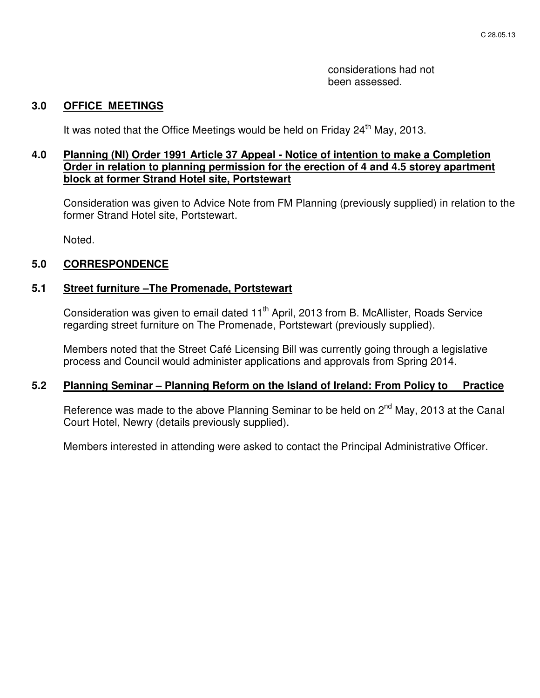considerations had not been assessed.

### **3.0 OFFICE MEETINGS**

It was noted that the Office Meetings would be held on Friday 24<sup>th</sup> May, 2013.

### **4.0 Planning (NI) Order 1991 Article 37 Appeal - Notice of intention to make a Completion Order in relation to planning permission for the erection of 4 and 4.5 storey apartment block at former Strand Hotel site, Portstewart**

Consideration was given to Advice Note from FM Planning (previously supplied) in relation to the former Strand Hotel site, Portstewart.

Noted.

### **5.0 CORRESPONDENCE**

#### **5.1 Street furniture –The Promenade, Portstewart**

Consideration was given to email dated 11<sup>th</sup> April, 2013 from B. McAllister, Roads Service regarding street furniture on The Promenade, Portstewart (previously supplied).

Members noted that the Street Café Licensing Bill was currently going through a legislative process and Council would administer applications and approvals from Spring 2014.

#### **5.2 Planning Seminar – Planning Reform on the Island of Ireland: From Policy to Practice**

Reference was made to the above Planning Seminar to be held on 2<sup>nd</sup> May, 2013 at the Canal Court Hotel, Newry (details previously supplied).

Members interested in attending were asked to contact the Principal Administrative Officer.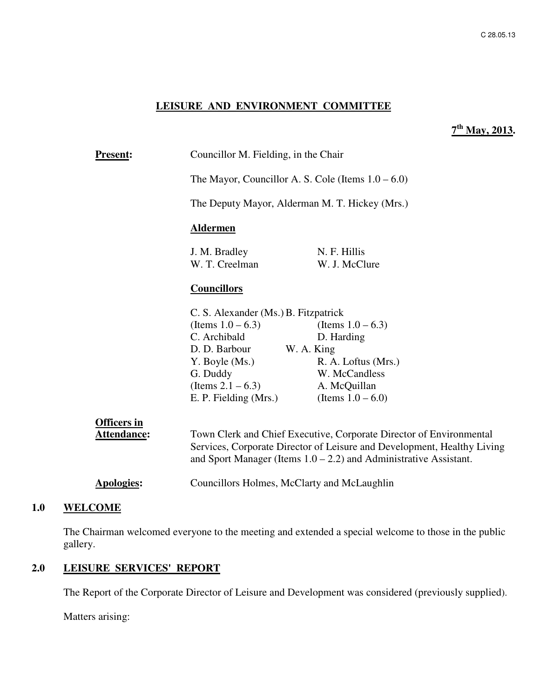#### **LEISURE AND ENVIRONMENT COMMITTEE**

## **7 th May, 2013.**

| <b>Present:</b>    | Councillor M. Fielding, in the Chair                                                                                                                                                                                   |                                    |  |
|--------------------|------------------------------------------------------------------------------------------------------------------------------------------------------------------------------------------------------------------------|------------------------------------|--|
|                    | The Mayor, Councillor A. S. Cole (Items $1.0 - 6.0$ )                                                                                                                                                                  |                                    |  |
|                    | The Deputy Mayor, Alderman M. T. Hickey (Mrs.)                                                                                                                                                                         |                                    |  |
|                    | <b>Aldermen</b>                                                                                                                                                                                                        |                                    |  |
|                    | J. M. Bradley<br>W. T. Creelman                                                                                                                                                                                        | N. F. Hillis<br>W. J. McClure      |  |
|                    | <b>Councillors</b>                                                                                                                                                                                                     |                                    |  |
|                    | C. S. Alexander (Ms.) B. Fitzpatrick                                                                                                                                                                                   |                                    |  |
|                    | (Items $1.0 - 6.3$ )<br>C. Archibald                                                                                                                                                                                   | (Items $1.0 - 6.3$ )<br>D. Harding |  |
|                    | D. D. Barbour W. A. King                                                                                                                                                                                               |                                    |  |
|                    | Y. Boyle (Ms.)                                                                                                                                                                                                         | R. A. Loftus (Mrs.)                |  |
|                    | G. Duddy                                                                                                                                                                                                               | W. McCandless                      |  |
|                    | (Items $2.1 - 6.3$ ) A. McQuillan                                                                                                                                                                                      |                                    |  |
|                    | E. P. Fielding (Mrs.)                                                                                                                                                                                                  | (Items $1.0 - 6.0$ )               |  |
| <b>Officers in</b> |                                                                                                                                                                                                                        |                                    |  |
| <b>Attendance:</b> | Town Clerk and Chief Executive, Corporate Director of Environmental<br>Services, Corporate Director of Leisure and Development, Healthy Living<br>and Sport Manager (Items $1.0 - 2.2$ ) and Administrative Assistant. |                                    |  |
| Apologies:         | Councillors Holmes, McClarty and McLaughlin                                                                                                                                                                            |                                    |  |

# **1.0 WELCOME**

The Chairman welcomed everyone to the meeting and extended a special welcome to those in the public gallery.

### **2.0 LEISURE SERVICES' REPORT**

The Report of the Corporate Director of Leisure and Development was considered (previously supplied).

Matters arising: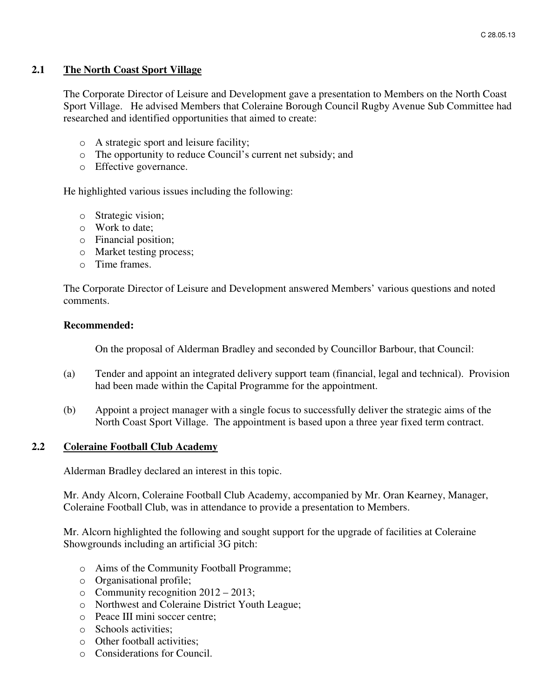#### **2.1 The North Coast Sport Village**

The Corporate Director of Leisure and Development gave a presentation to Members on the North Coast Sport Village. He advised Members that Coleraine Borough Council Rugby Avenue Sub Committee had researched and identified opportunities that aimed to create:

- o A strategic sport and leisure facility;
- o The opportunity to reduce Council's current net subsidy; and
- o Effective governance.

He highlighted various issues including the following:

- o Strategic vision;
- o Work to date;
- o Financial position;
- o Market testing process;
- o Time frames.

The Corporate Director of Leisure and Development answered Members' various questions and noted comments.

#### **Recommended:**

On the proposal of Alderman Bradley and seconded by Councillor Barbour, that Council:

- (a) Tender and appoint an integrated delivery support team (financial, legal and technical). Provision had been made within the Capital Programme for the appointment.
- (b) Appoint a project manager with a single focus to successfully deliver the strategic aims of the North Coast Sport Village. The appointment is based upon a three year fixed term contract.

#### **2.2 Coleraine Football Club Academy**

Alderman Bradley declared an interest in this topic.

Mr. Andy Alcorn, Coleraine Football Club Academy, accompanied by Mr. Oran Kearney, Manager, Coleraine Football Club, was in attendance to provide a presentation to Members.

Mr. Alcorn highlighted the following and sought support for the upgrade of facilities at Coleraine Showgrounds including an artificial 3G pitch:

- o Aims of the Community Football Programme;
- o Organisational profile;
- o Community recognition 2012 2013;
- o Northwest and Coleraine District Youth League;
- o Peace III mini soccer centre;
- o Schools activities;
- o Other football activities;
- o Considerations for Council.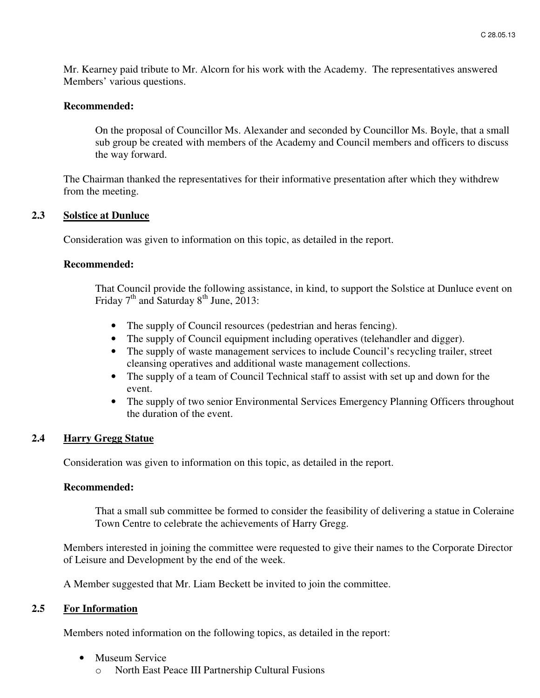Mr. Kearney paid tribute to Mr. Alcorn for his work with the Academy. The representatives answered Members' various questions.

#### **Recommended:**

On the proposal of Councillor Ms. Alexander and seconded by Councillor Ms. Boyle, that a small sub group be created with members of the Academy and Council members and officers to discuss the way forward.

The Chairman thanked the representatives for their informative presentation after which they withdrew from the meeting.

#### **2.3 Solstice at Dunluce**

Consideration was given to information on this topic, as detailed in the report.

#### **Recommended:**

That Council provide the following assistance, in kind, to support the Solstice at Dunluce event on Friday  $7<sup>th</sup>$  and Saturday  $8<sup>th</sup>$  June, 2013:

- The supply of Council resources (pedestrian and heras fencing).
- The supply of Council equipment including operatives (telehandler and digger).
- The supply of waste management services to include Council's recycling trailer, street cleansing operatives and additional waste management collections.
- The supply of a team of Council Technical staff to assist with set up and down for the event.
- The supply of two senior Environmental Services Emergency Planning Officers throughout the duration of the event.

#### **2.4 Harry Gregg Statue**

Consideration was given to information on this topic, as detailed in the report.

#### **Recommended:**

That a small sub committee be formed to consider the feasibility of delivering a statue in Coleraine Town Centre to celebrate the achievements of Harry Gregg.

Members interested in joining the committee were requested to give their names to the Corporate Director of Leisure and Development by the end of the week.

A Member suggested that Mr. Liam Beckett be invited to join the committee.

#### **2.5 For Information**

Members noted information on the following topics, as detailed in the report:

- Museum Service
	- o North East Peace III Partnership Cultural Fusions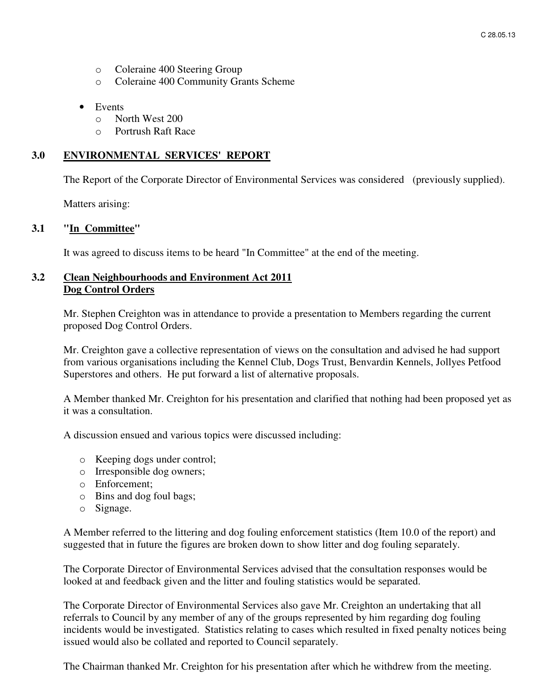- o Coleraine 400 Steering Group
- o Coleraine 400 Community Grants Scheme
- Events
	- o North West 200
	- o Portrush Raft Race

### **3.0 ENVIRONMENTAL SERVICES' REPORT**

The Report of the Corporate Director of Environmental Services was considered (previously supplied).

Matters arising:

#### **3.1 "In Committee"**

It was agreed to discuss items to be heard "In Committee" at the end of the meeting.

#### **3.2 Clean Neighbourhoods and Environment Act 2011 Dog Control Orders**

Mr. Stephen Creighton was in attendance to provide a presentation to Members regarding the current proposed Dog Control Orders.

Mr. Creighton gave a collective representation of views on the consultation and advised he had support from various organisations including the Kennel Club, Dogs Trust, Benvardin Kennels, Jollyes Petfood Superstores and others. He put forward a list of alternative proposals.

A Member thanked Mr. Creighton for his presentation and clarified that nothing had been proposed yet as it was a consultation.

A discussion ensued and various topics were discussed including:

- o Keeping dogs under control;
- o Irresponsible dog owners;
- o Enforcement;
- o Bins and dog foul bags;
- o Signage.

A Member referred to the littering and dog fouling enforcement statistics (Item 10.0 of the report) and suggested that in future the figures are broken down to show litter and dog fouling separately.

The Corporate Director of Environmental Services advised that the consultation responses would be looked at and feedback given and the litter and fouling statistics would be separated.

The Corporate Director of Environmental Services also gave Mr. Creighton an undertaking that all referrals to Council by any member of any of the groups represented by him regarding dog fouling incidents would be investigated. Statistics relating to cases which resulted in fixed penalty notices being issued would also be collated and reported to Council separately.

The Chairman thanked Mr. Creighton for his presentation after which he withdrew from the meeting.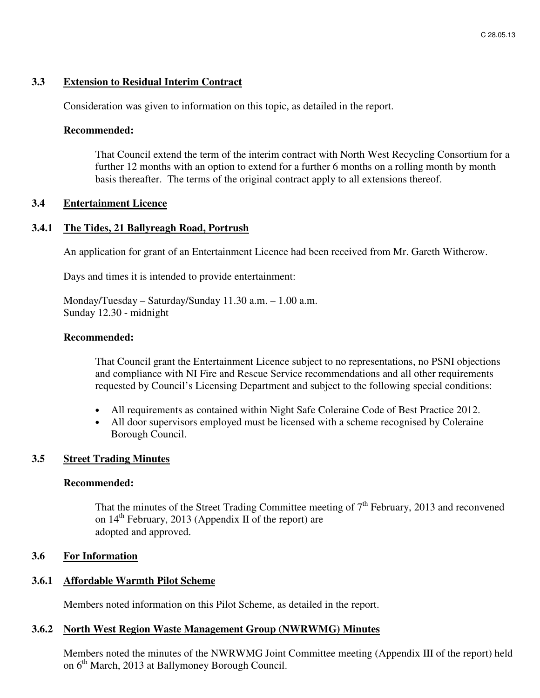#### **3.3 Extension to Residual Interim Contract**

Consideration was given to information on this topic, as detailed in the report.

#### **Recommended:**

That Council extend the term of the interim contract with North West Recycling Consortium for a further 12 months with an option to extend for a further 6 months on a rolling month by month basis thereafter. The terms of the original contract apply to all extensions thereof.

#### **3.4 Entertainment Licence**

#### **3.4.1 The Tides, 21 Ballyreagh Road, Portrush**

An application for grant of an Entertainment Licence had been received from Mr. Gareth Witherow.

Days and times it is intended to provide entertainment:

Monday/Tuesday – Saturday/Sunday 11.30 a.m. – 1.00 a.m. Sunday 12.30 - midnight

#### **Recommended:**

That Council grant the Entertainment Licence subject to no representations, no PSNI objections and compliance with NI Fire and Rescue Service recommendations and all other requirements requested by Council's Licensing Department and subject to the following special conditions:

- All requirements as contained within Night Safe Coleraine Code of Best Practice 2012.
- All door supervisors employed must be licensed with a scheme recognised by Coleraine Borough Council.

#### **3.5 Street Trading Minutes**

#### **Recommended:**

That the minutes of the Street Trading Committee meeting of  $7<sup>th</sup>$  February, 2013 and reconvened on  $14<sup>th</sup>$  February, 2013 (Appendix II of the report) are adopted and approved.

#### **3.6 For Information**

#### **3.6.1 Affordable Warmth Pilot Scheme**

Members noted information on this Pilot Scheme, as detailed in the report.

#### **3.6.2 North West Region Waste Management Group (NWRWMG) Minutes**

Members noted the minutes of the NWRWMG Joint Committee meeting (Appendix III of the report) held on 6<sup>th</sup> March, 2013 at Ballymoney Borough Council.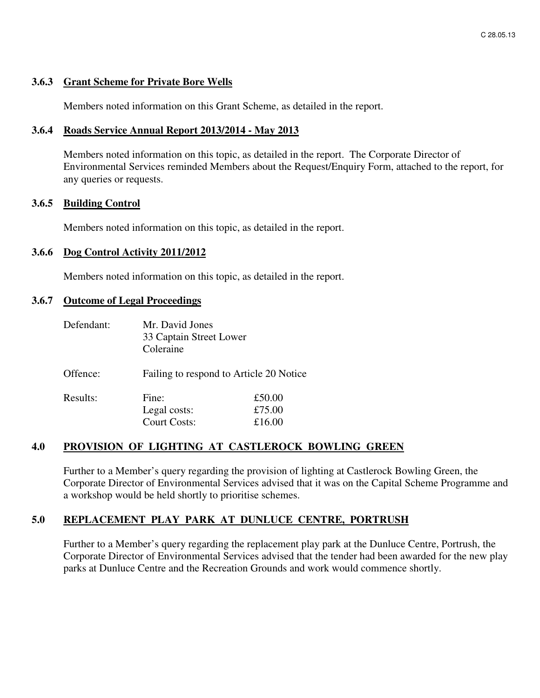#### **3.6.3 Grant Scheme for Private Bore Wells**

Members noted information on this Grant Scheme, as detailed in the report.

#### **3.6.4 Roads Service Annual Report 2013/2014 - May 2013**

Members noted information on this topic, as detailed in the report. The Corporate Director of Environmental Services reminded Members about the Request/Enquiry Form, attached to the report, for any queries or requests.

#### **3.6.5 Building Control**

Members noted information on this topic, as detailed in the report.

#### **3.6.6 Dog Control Activity 2011/2012**

Members noted information on this topic, as detailed in the report.

#### **3.6.7 Outcome of Legal Proceedings**

| Defendant: | Mr. David Jones<br>33 Captain Street Lower<br>Coleraine |                            |
|------------|---------------------------------------------------------|----------------------------|
| Offence:   | Failing to respond to Article 20 Notice                 |                            |
| Results:   | Fine:<br>Legal costs:<br><b>Court Costs:</b>            | £50.00<br>£75.00<br>£16.00 |

#### **4.0 PROVISION OF LIGHTING AT CASTLEROCK BOWLING GREEN**

Further to a Member's query regarding the provision of lighting at Castlerock Bowling Green, the Corporate Director of Environmental Services advised that it was on the Capital Scheme Programme and a workshop would be held shortly to prioritise schemes.

#### **5.0 REPLACEMENT PLAY PARK AT DUNLUCE CENTRE, PORTRUSH**

Further to a Member's query regarding the replacement play park at the Dunluce Centre, Portrush, the Corporate Director of Environmental Services advised that the tender had been awarded for the new play parks at Dunluce Centre and the Recreation Grounds and work would commence shortly.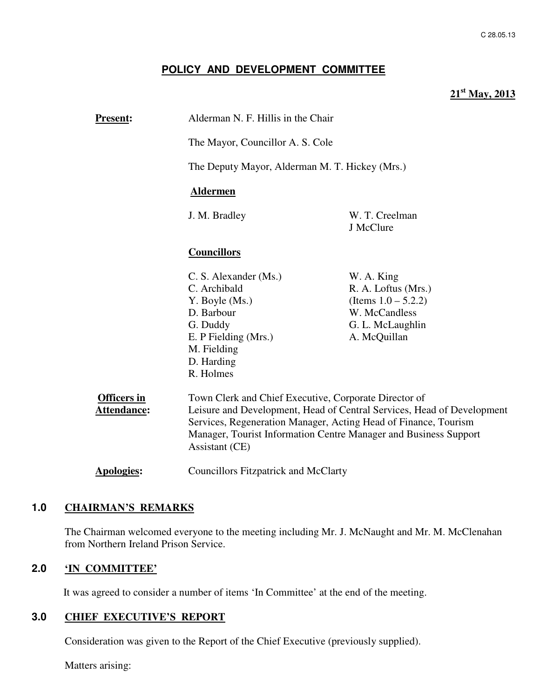### **POLICY AND DEVELOPMENT COMMITTEE**

# **21st May, 2013**

| <b>Present:</b>                   | Alderman N. F. Hillis in the Chair                                                                                                                                                                                                                                                       |                                                                                                                  |
|-----------------------------------|------------------------------------------------------------------------------------------------------------------------------------------------------------------------------------------------------------------------------------------------------------------------------------------|------------------------------------------------------------------------------------------------------------------|
|                                   | The Mayor, Councillor A. S. Cole                                                                                                                                                                                                                                                         |                                                                                                                  |
|                                   | The Deputy Mayor, Alderman M. T. Hickey (Mrs.)<br><b>Aldermen</b>                                                                                                                                                                                                                        |                                                                                                                  |
|                                   |                                                                                                                                                                                                                                                                                          |                                                                                                                  |
|                                   | J. M. Bradley                                                                                                                                                                                                                                                                            | W. T. Creelman<br>J McClure                                                                                      |
|                                   | <b>Councillors</b>                                                                                                                                                                                                                                                                       |                                                                                                                  |
|                                   | C. S. Alexander (Ms.)<br>C. Archibald<br>Y. Boyle (Ms.)<br>D. Barbour<br>G. Duddy<br>E. P Fielding (Mrs.)<br>M. Fielding<br>D. Harding<br>R. Holmes                                                                                                                                      | W. A. King<br>R. A. Loftus (Mrs.)<br>(Items $1.0 - 5.2.2$ )<br>W. McCandless<br>G. L. McLaughlin<br>A. McQuillan |
| <b>Officers in</b><br>Attendance: | Town Clerk and Chief Executive, Corporate Director of<br>Leisure and Development, Head of Central Services, Head of Development<br>Services, Regeneration Manager, Acting Head of Finance, Tourism<br>Manager, Tourist Information Centre Manager and Business Support<br>Assistant (CE) |                                                                                                                  |
| <b>Apologies:</b>                 | <b>Councillors Fitzpatrick and McClarty</b>                                                                                                                                                                                                                                              |                                                                                                                  |

### **1.0 CHAIRMAN'S REMARKS**

The Chairman welcomed everyone to the meeting including Mr. J. McNaught and Mr. M. McClenahan from Northern Ireland Prison Service.

### **2.0 'IN COMMITTEE'**

It was agreed to consider a number of items 'In Committee' at the end of the meeting.

#### **3.0 CHIEF EXECUTIVE'S REPORT**

Consideration was given to the Report of the Chief Executive (previously supplied).

Matters arising: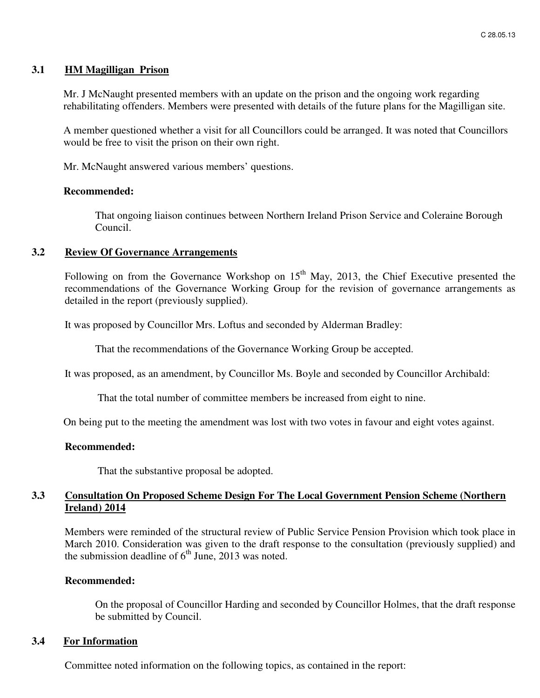#### **3.1 HM Magilligan Prison**

Mr. J McNaught presented members with an update on the prison and the ongoing work regarding rehabilitating offenders. Members were presented with details of the future plans for the Magilligan site.

A member questioned whether a visit for all Councillors could be arranged. It was noted that Councillors would be free to visit the prison on their own right.

Mr. McNaught answered various members' questions.

#### **Recommended:**

That ongoing liaison continues between Northern Ireland Prison Service and Coleraine Borough Council.

#### **3.2 Review Of Governance Arrangements**

Following on from the Governance Workshop on  $15<sup>th</sup>$  May, 2013, the Chief Executive presented the recommendations of the Governance Working Group for the revision of governance arrangements as detailed in the report (previously supplied).

It was proposed by Councillor Mrs. Loftus and seconded by Alderman Bradley:

That the recommendations of the Governance Working Group be accepted.

It was proposed, as an amendment, by Councillor Ms. Boyle and seconded by Councillor Archibald:

That the total number of committee members be increased from eight to nine.

On being put to the meeting the amendment was lost with two votes in favour and eight votes against.

#### **Recommended:**

That the substantive proposal be adopted.

#### **3.3 Consultation On Proposed Scheme Design For The Local Government Pension Scheme (Northern Ireland) 2014**

Members were reminded of the structural review of Public Service Pension Provision which took place in March 2010. Consideration was given to the draft response to the consultation (previously supplied) and the submission deadline of  $6<sup>th</sup>$  June, 2013 was noted.

#### **Recommended:**

On the proposal of Councillor Harding and seconded by Councillor Holmes, that the draft response be submitted by Council.

#### **3.4 For Information**

Committee noted information on the following topics, as contained in the report: